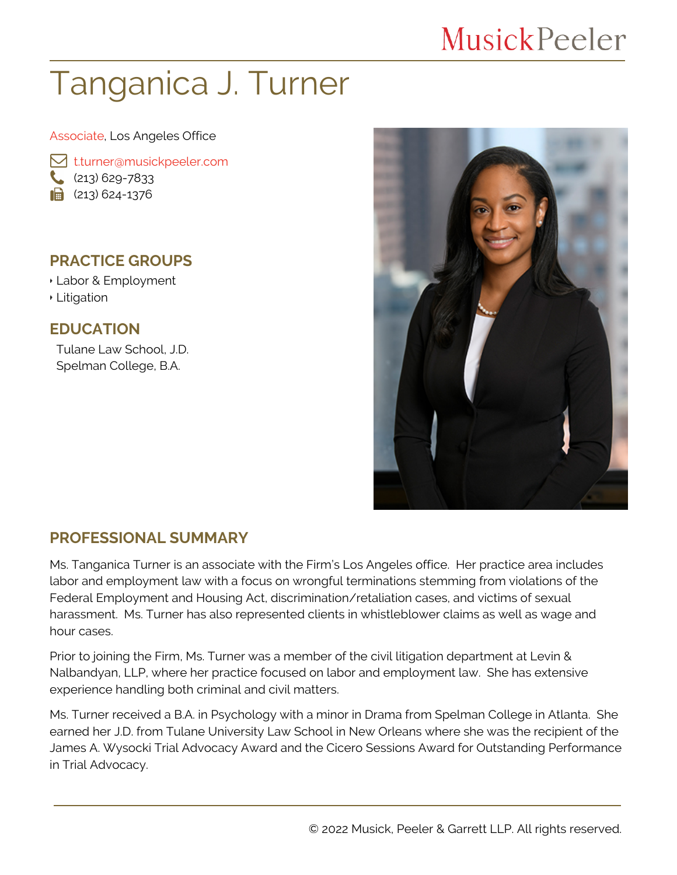## **MusickPeeler**

# Tanganica J. Turner

#### Associate, Los Angeles Office

**M** [t.turner@musickpeeler.com](mailto:t.turner@musickpeeler.com)  $(213) 629 - 7833$  $\mathbf{a}$  (213) 624-1376

#### **PRACTICE GROUPS**

- Labor & Employment
- Litigation

#### **EDUCATION**

Tulane Law School, J.D. Spelman College, B.A.



#### **PROFESSIONAL SUMMARY**

Ms. Tanganica Turner is an associate with the Firm's Los Angeles office. Her practice area includes labor and employment law with a focus on wrongful terminations stemming from violations of the Federal Employment and Housing Act, discrimination/retaliation cases, and victims of sexual harassment. Ms. Turner has also represented clients in whistleblower claims as well as wage and hour cases.

Prior to joining the Firm, Ms. Turner was a member of the civil litigation department at Levin & Nalbandyan, LLP, where her practice focused on labor and employment law. She has extensive experience handling both criminal and civil matters.

Ms. Turner received a B.A. in Psychology with a minor in Drama from Spelman College in Atlanta. She earned her J.D. from Tulane University Law School in New Orleans where she was the recipient of the James A. Wysocki Trial Advocacy Award and the Cicero Sessions Award for Outstanding Performance in Trial Advocacy.